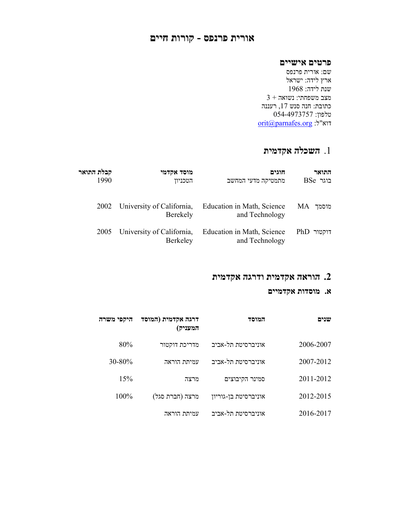## אורית פרנפס - קורות חיים

## פרטים אישיים

שם: אורית פרנפס ארץ לידה: ישראל שנת לידה: 1968  $3$  + מצב משפחתי: נשואה כתובת: חנה סנש ,17 רעננה טלפון: 054-4973757 orit@parnafes.org :ל"דוא

# .1 השכלה אקדמית

| התואר        | חוגים                                        | מוסד אקדמי                                 | קבלת התואר |
|--------------|----------------------------------------------|--------------------------------------------|------------|
| $B$ בוגר $B$ | מתמטיקה מדעי המחשב                           | הטכניוו                                    | 1990       |
| MA           | Education in Math, Science                   | 2002 University of California,             |            |
| מוסמד        | and Technology                               | Berekely                                   |            |
| $PhD$ דוקטור | Education in Math, Science<br>and Technology | 2005 University of California,<br>Berkeley |            |

## . הוראה אקדמית ודרגה אקדמית  $\,$

## א. מוסדות אקדמיים

| שנים      | המוסד                | דרגה אקדמית (המוסד<br>המעניק) | היקפי משרה |
|-----------|----------------------|-------------------------------|------------|
| 2006-2007 | אוניברסיטת תל-אביב   | מדריכת דוקטור                 | 80%        |
| 2007-2012 | אוניברסיטת תל-אביב   | עמיתת הוראה                   | 30-80%     |
| 2011-2012 | סמינר הקיבוצים       | מרצה                          | 15%        |
| 2012-2015 | אוניברסיטת בן-גוריון | מרצה (חברת סגל)               | 100%       |
| 2016-2017 | אוניברסיטת תל-אביב   | עמיתת הוראה                   |            |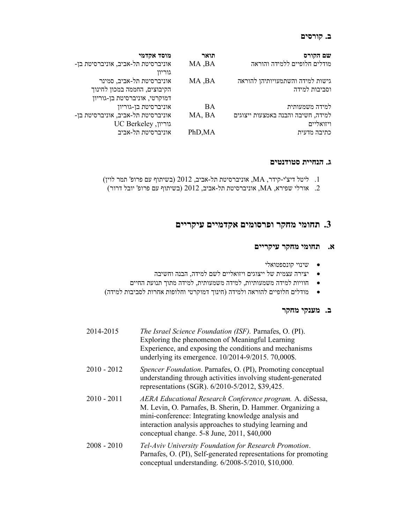### ב. קורסים

| שם הקורס                           | תואר    | מוסד אקדמי                                   |
|------------------------------------|---------|----------------------------------------------|
| מודלים חלופיים ללמידה והוראה       | MA, BA  | אוניברסיטת תל-אביב, אוניברסיטת בן-<br>גוריון |
| גישות למידה והשתמעויותיהן להוראה   | MA, BA  | אוניברסיטת תל-אביב, סמינר                    |
|                                    |         |                                              |
| וסביבות למידה                      |         | הקיבוצים, החממה במכון לחינוך                 |
|                                    |         | דמוקרטי, אוניברסיטת בן-גוריון                |
| למידה משמעותית                     | BA      | אוניברסיטת בן-גוריון                         |
| למידה, חשיבה והבנה באמצעות ייצוגים | MA, BA  | אוניברסיטת תל-אביב, אוניברסיטת בן-           |
| ויזואליים                          |         | UC Berkeley ,גוריון                          |
| כתיבה מדעית                        | PhD, MA | אוניברסיטת תל-אביב                           |

#### ג. הנחיית סטודנטים

- .1 ליטל דיצ'י- קידר, MA, אוניברסיטת תל- אביב, 2012 (בשיתוף עם פרופ' תמר לוין)
- .2 אורלי שפירא, MA, אוניברסיטת תל- אביב, 2012 (בשיתוף עם פרופ' יובל דרור)

## תחומי מחקר ופרסומים אקדמיים עיקריים  $3$

### א. תחומי מחקר עיקריים

- שינוי קונספטואלי
- יצירה עצמית של ייצוגים ויזואליים לשם למידה, הבנה וחשיבה
- חוויות למידה משמעותיות, למידה משמעותית, למידה מתוך תנועת החיים
- מודלים חלופיים להוראה ולמידה (חינוך דמוקרטי וחלופות אחרות לסביבות למידה)

#### ב. מענקי מחקר

| 2014-2015     | The Israel Science Foundation (ISF). Parnafes, O. (PI).<br>Exploring the phenomenon of Meaningful Learning<br>Experience, and exposing the conditions and mechanisms<br>underlying its emergence. 10/2014-9/2015. 70,000\$.                                                              |
|---------------|------------------------------------------------------------------------------------------------------------------------------------------------------------------------------------------------------------------------------------------------------------------------------------------|
| $2010 - 2012$ | Spencer Foundation. Parnafes, O. (PI), Promoting conceptual<br>understanding through activities involving student-generated<br>representations (SGR). 6/2010-5/2012, \$39,425.                                                                                                           |
| $2010 - 2011$ | AERA Educational Research Conference program. A. diSessa,<br>M. Levin, O. Parnafes, B. Sherin, D. Hammer. Organizing a<br>mini-conference: Integrating knowledge analysis and<br>interaction analysis approaches to studying learning and<br>conceptual change. 5-8 June, 2011, \$40,000 |
| $2008 - 2010$ | Tel-Aviv University Foundation for Research Promotion.<br>Parnafes, O. (PI), Self-generated representations for promoting<br>conceptual understanding. 6/2008-5/2010, \$10,000.                                                                                                          |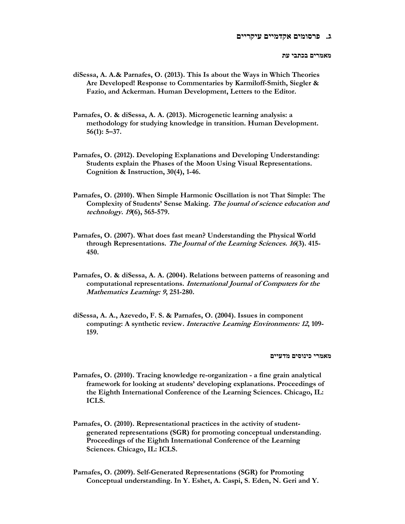מאמרים בכתבי עת

- diSessa, A. A.& Parnafes, O. (2013). This Is about the Ways in Which Theories Are Developed! Response to Commentaries by Karmiloff-Smith, Siegler & Fazio, and Ackerman. Human Development, Letters to the Editor.
- Parnafes, O. & diSessa, A. A. (2013). Microgenetic learning analysis: a methodology for studying knowledge in transition. Human Development. 56(1): 5–37.
- Parnafes, O. (2012). Developing Explanations and Developing Understanding: Students explain the Phases of the Moon Using Visual Representations. Cognition & Instruction, 30(4), 1-46.
- Parnafes, O. (2010). When Simple Harmonic Oscillation is not That Simple: The Complexity of Students' Sense Making. The journal of science education and technology. 19(6), 565-579.
- Parnafes, O. (2007). What does fast mean? Understanding the Physical World through Representations. The Journal of the Learning Sciences. 16(3). 415-450.
- Parnafes, O. & diSessa, A. A. (2004). Relations between patterns of reasoning and computational representations. International Journal of Computers for the Mathematics Learning: 9, 251-280.
- diSessa, A. A., Azevedo, F. S. & Parnafes, O. (2004). Issues in component computing: A synthetic review. Interactive Learning Environments: 12, 109- 159.

מאמרי כינוסים מדעיים

- Parnafes, O. (2010). Tracing knowledge re-organization a fine grain analytical framework for looking at students' developing explanations. Proceedings of the Eighth International Conference of the Learning Sciences. Chicago, IL: ICLS.
- Parnafes, O. (2010). Representational practices in the activity of studentgenerated representations (SGR) for promoting conceptual understanding. Proceedings of the Eighth International Conference of the Learning Sciences. Chicago, IL: ICLS.
- Parnafes, O. (2009). Self-Generated Representations (SGR) for Promoting Conceptual understanding. In Y. Eshet, A. Caspi, S. Eden, N. Geri and Y.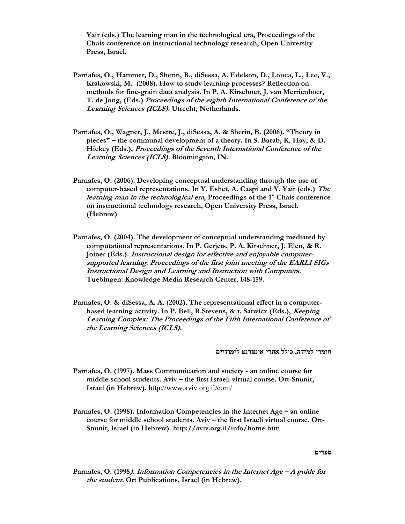Yair (eds.) The learning man in the technological era, Proceedings of the Chais conference on instructional technology research, Open University Press, Israel.

- Parnafes, O., Hammer, D., Sherin, B., diSessa, A. Edelson, D., Louca, L., Lee, V., Krakowski, M. (2008). How to study learning processes? Reflection on methods for fine-grain data analysis. In P. A. Kirschner, J. van Merrienboer, T. de Jong, (Eds.) Proceedings of the eighth International Conference of the Learning Sciences (ICLS). Utrecht, Netherlands.
- Parnafes, O., Wagner, J., Mestre, J., diSessa, A. & Sherin, B. (2006). "Theory in pieces" – the communal development of a theory. In S. Barab, K. Hay, & D. Hickey (Eds.), Proceedings of the Seventh International Conference of the Learning Sciences (ICLS). Bloomington, IN.
- Parnafes, O. (2006). Developing conceptual understanding through the use of computer-based representations. In Y. Eshet, A. Caspi and Y. Yair (eds.) The *learning man in the technological era*, Proceedings of the  $1<sup>st</sup>$  Chais conference on instructional technology research, Open University Press, Israel. (Hebrew)
- Parnafes, O. (2004). The development of conceptual understanding mediated by computational representations. In P. Gerjets, P. A. Kirschner, J. Elen, & R. Joiner (Eds.). Instructional design for effective and enjoyable computersupported learning. Proceedings of the first joint meeting of the EARLI SIGs Instructional Design and Learning and Instruction with Computers. Tuebingen: Knowledge Media Research Center, 148-159.
- Parnafes, O. & diSessa, A. A. (2002). The representational effect in a computerbased learning activity. In P. Bell, R.Stevens, & t. Satwicz (Eds.), Keeping Learning Complex: The Proceedings of the Fifth International Conference of the Learning Sciences (ICLS).

חומרי למידה, כולל אתרי אינטרנט לימודיים

- Parnafes, O. (1997). Mass Communication and society an online course for middle school students. Aviv – the first Israeli virtual course. Ort-Snunit, Israel (in Hebrew). http://www.aviv.org.il/com/
- Parnafes, O. (1998). Information Competencies in the Internet Age an online course for middle school students. Aviv – the first Israeli virtual course. Ort-Snunit, Israel (in Hebrew). http://aviv.org.il/info/home.htm

ספרים

Parnafes, O. (1998). Information Competencies in the Internet Age – A guide for the student. Ort Publications, Israel (in Hebrew).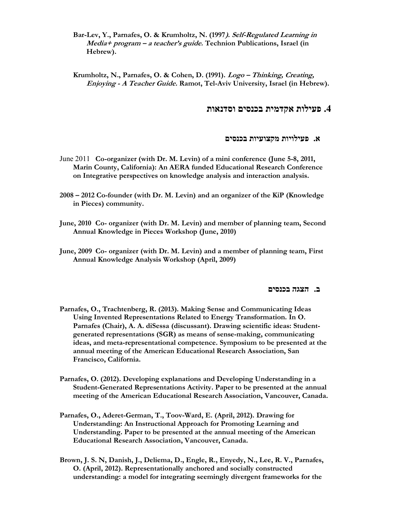Bar-Lev, Y., Parnafes, O. & Krumholtz, N. (1997). Self-Regulated Learning in Media+ program – a teacher's guide. Technion Publications, Israel (in Hebrew).

Krumholtz, N., Parnafes, O. & Cohen, D. (1991). Logo – Thinking, Creating, Enjoying - A Teacher Guide. Ramot, Tel-Aviv University, Israel (in Hebrew).

## .4 פעילות אקדמית בכנסים וסדנאות

#### א. פעילויות מקצועיות בכנסים

- June 2011 Co-organizer (with Dr. M. Levin) of a mini conference (June 5-8, 2011, Marin County, California): An AERA funded Educational Research Conference on Integrative perspectives on knowledge analysis and interaction analysis.
- 2008 2012 Co-founder (with Dr. M. Levin) and an organizer of the KiP (Knowledge in Pieces) community.
- June, 2010 Co- organizer (with Dr. M. Levin) and member of planning team, Second Annual Knowledge in Pieces Workshop (June, 2010)
- June, 2009 Co- organizer (with Dr. M. Levin) and a member of planning team, First Annual Knowledge Analysis Workshop (April, 2009)

#### ב. הצגה בכנסים

- Parnafes, O., Trachtenberg, R. (2013). Making Sense and Communicating Ideas Using Invented Representations Related to Energy Transformation. In O. Parnafes (Chair), A. A. diSessa (discussant). Drawing scientific ideas: Studentgenerated representations (SGR) as means of sense-making, communicating ideas, and meta-representational competence. Symposium to be presented at the annual meeting of the American Educational Research Association, San Francisco, California.
- Parnafes, O. (2012). Developing explanations and Developing Understanding in a Student-Generated Representations Activity. Paper to be presented at the annual meeting of the American Educational Research Association, Vancouver, Canada.
- Parnafes, O., Aderet-German, T., Toov-Ward, E. (April, 2012). Drawing for Understanding: An Instructional Approach for Promoting Learning and Understanding. Paper to be presented at the annual meeting of the American Educational Research Association, Vancouver, Canada.
- Brown, J. S. N, Danish, J., Deliema, D., Engle, R., Enyedy, N., Lee, R. V., Parnafes, O. (April, 2012). Representationally anchored and socially constructed understanding: a model for integrating seemingly divergent frameworks for the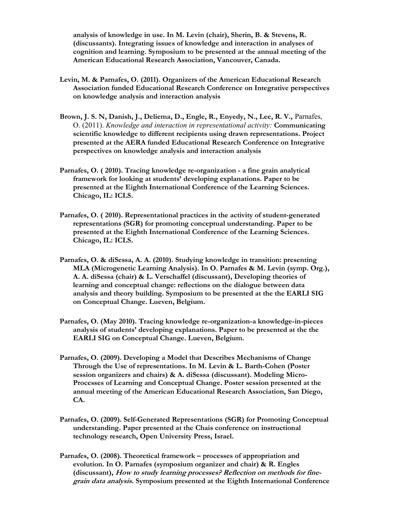analysis of knowledge in use. In M. Levin (chair), Sherin, B. & Stevens, R. (discussants). Integrating issues of knowledge and interaction in analyses of cognition and learning. Symposium to be presented at the annual meeting of the American Educational Research Association, Vancouver, Canada.

- Levin, M. & Parnafes, O. (2011). Organizers of the American Educational Research Association funded Educational Research Conference on Integrative perspectives on knowledge analysis and interaction analysis
- Brown, J. S. N, Danish, J., Deliema, D., Engle, R., Enyedy, N., Lee, R. V., Parnafes, O. (2011). Knowledge and interaction in representational activity: Communicating scientific knowledge to different recipients using drawn representations. Project presented at the AERA funded Educational Research Conference on Integrative perspectives on knowledge analysis and interaction analysis
- Parnafes, O. ( 2010). Tracing knowledge re-organization a fine grain analytical framework for looking at students' developing explanations. Paper to be presented at the Eighth International Conference of the Learning Sciences. Chicago, IL: ICLS.
- Parnafes, O. ( 2010). Representational practices in the activity of student-generated representations (SGR) for promoting conceptual understanding. Paper to be presented at the Eighth International Conference of the Learning Sciences. Chicago, IL: ICLS.
- Parnafes, O. & diSessa, A. A. (2010). Studying knowledge in transition: presenting MLA (Microgenetic Learning Analysis). In O. Parnafes & M. Levin (symp. Org.), A. A. diSessa (chair) & L. Verschaffel (discussant), Developing theories of learning and conceptual change: reflections on the dialogue between data analysis and theory building. Symposium to be presented at the the EARLI SIG on Conceptual Change. Lueven, Belgium.
- Parnafes, O. (May 2010). Tracing knowledge re-organization-a knowledge-in-pieces analysis of students' developing explanations. Paper to be presented at the the EARLI SIG on Conceptual Change. Lueven, Belgium.
- Parnafes, O. (2009). Developing a Model that Describes Mechanisms of Change Through the Use of representations. In M. Levin & L. Barth-Cohen (Poster session organizers and chairs) & A. diSessa (discussant). Modeling Micro-Processes of Learning and Conceptual Change. Poster session presented at the annual meeting of the American Educational Research Association, San Diego, CA.
- Parnafes, O. (2009). Self-Generated Representations (SGR) for Promoting Conceptual understanding. Paper presented at the Chais conference on instructional technology research, Open University Press, Israel.
- Parnafes, O. (2008). Theoretical framework processes of appropriation and evolution. In O. Parnafes (symposium organizer and chair) & R. Engles (discussant), How to study learning processes? Reflection on methods for finegrain data analysis. Symposium presented at the Eighth International Conference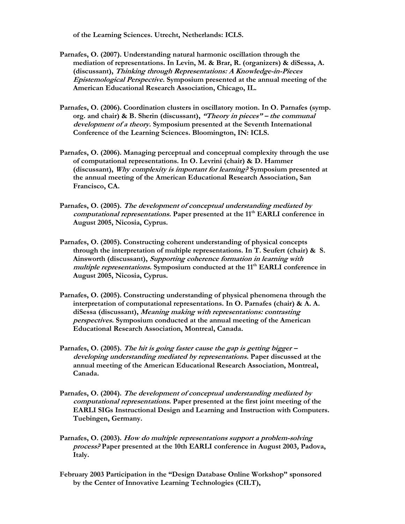of the Learning Sciences. Utrecht, Netherlands: ICLS.

- Parnafes, O. (2007). Understanding natural harmonic oscillation through the mediation of representations. In Levin, M. & Brar, R. (organizers) & diSessa, A. (discussant), Thinking through Representations: A Knowledge-in-Pieces Epistemological Perspective. Symposium presented at the annual meeting of the American Educational Research Association, Chicago, IL.
- Parnafes, O. (2006). Coordination clusters in oscillatory motion. In O. Parnafes (symp. org. and chair) & B. Sherin (discussant), "Theory in pieces" – the communal development of a theory. Symposium presented at the Seventh International Conference of the Learning Sciences. Bloomington, IN: ICLS.
- Parnafes, O. (2006). Managing perceptual and conceptual complexity through the use of computational representations. In O. Levrini (chair) & D. Hammer (discussant), Why complexity is important for learning? Symposium presented at the annual meeting of the American Educational Research Association, San Francisco, CA.
- Parnafes, O. (2005). The development of conceptual understanding mediated by computational representations. Paper presented at the 11<sup>th</sup> EARLI conference in August 2005, Nicosia, Cyprus.
- Parnafes, O. (2005). Constructing coherent understanding of physical concepts through the interpretation of multiple representations. In T. Seufert (chair)  $\& S$ . Ainsworth (discussant), Supporting coherence formation in learning with multiple representations. Symposium conducted at the 11<sup>th</sup> EARLI conference in August 2005, Nicosia, Cyprus.
- Parnafes, O. (2005). Constructing understanding of physical phenomena through the interpretation of computational representations. In O. Parnafes (chair) & A. A. diSessa (discussant), Meaning making with representations: contrasting perspectives. Symposium conducted at the annual meeting of the American Educational Research Association, Montreal, Canada.
- Parnafes, O. (2005). The hit is going faster cause the gap is getting bigger developing understanding mediated by representations. Paper discussed at the annual meeting of the American Educational Research Association, Montreal, Canada.
- Parnafes, O. (2004). The development of conceptual understanding mediated by computational representations. Paper presented at the first joint meeting of the EARLI SIGs Instructional Design and Learning and Instruction with Computers. Tuebingen, Germany.
- Parnafes, O. (2003). How do multiple representations support a problem-solving process? Paper presented at the 10th EARLI conference in August 2003, Padova, Italy.
- February 2003 Participation in the "Design Database Online Workshop" sponsored by the Center of Innovative Learning Technologies (CILT),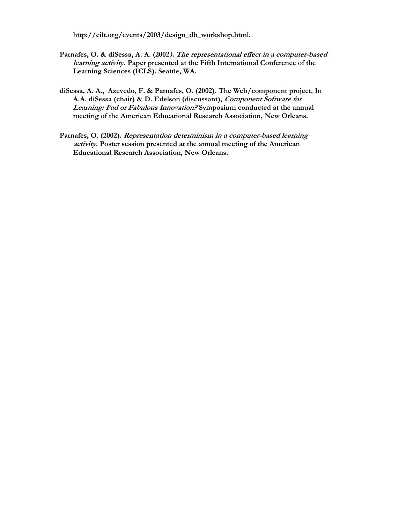http://cilt.org/events/2003/design\_db\_workshop.html.

- Parnafes, O. & diSessa, A. A. (2002). The representational effect in a computer-based learning activity. Paper presented at the Fifth International Conference of the Learning Sciences (ICLS). Seattle, WA.
- diSessa, A. A., Azevedo, F. & Parnafes, O. (2002). The Web/component project. In A.A. diSessa (chair) & D. Edelson (discussant), Component Software for Learning: Fad or Fabulous Innovation? Symposium conducted at the annual meeting of the American Educational Research Association, New Orleans.
- Parnafes, O. (2002). Representation determinism in a computer-based learning activity. Poster session presented at the annual meeting of the American Educational Research Association, New Orleans.